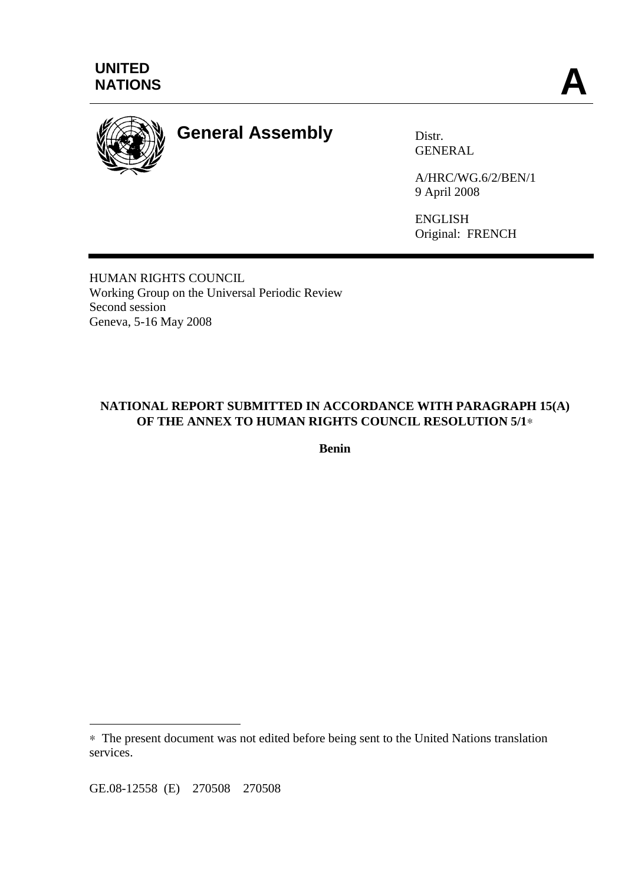



# **General Assembly** Distr.

GENERAL

A/HRC/WG.6/2/BEN/1 9 April 2008

ENGLISH Original: FRENCH

HUMAN RIGHTS COUNCIL Working Group on the Universal Periodic Review Second session Geneva, 5-16 May 2008

# **NATIONAL REPORT SUBMITTED IN ACCORDANCE WITH PARAGRAPH 15(A) OF THE ANNEX TO HUMAN RIGHTS COUNCIL RESOLUTION 5/1**∗

**Benin** 

GE.08-12558 (E) 270508 270508

 $\overline{a}$ 

<sup>∗</sup> The present document was not edited before being sent to the United Nations translation services.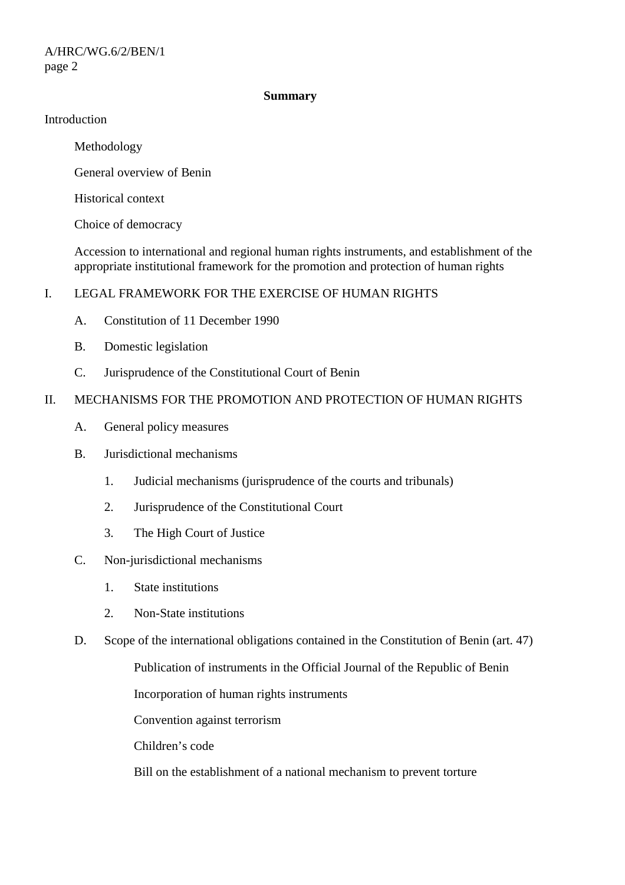#### **Summary**

#### Introduction

Methodology

General overview of Benin

Historical context

Choice of democracy

 Accession to international and regional human rights instruments, and establishment of the appropriate institutional framework for the promotion and protection of human rights

## I. LEGAL FRAMEWORK FOR THE EXERCISE OF HUMAN RIGHTS

- A. Constitution of 11 December 1990
- B. Domestic legislation
- C. Jurisprudence of the Constitutional Court of Benin

## II. MECHANISMS FOR THE PROMOTION AND PROTECTION OF HUMAN RIGHTS

- A. General policy measures
- B. Jurisdictional mechanisms
	- 1. Judicial mechanisms (jurisprudence of the courts and tribunals)
	- 2. Jurisprudence of the Constitutional Court
	- 3. The High Court of Justice
- C. Non-jurisdictional mechanisms
	- 1. State institutions
	- 2. Non-State institutions
- D. Scope of the international obligations contained in the Constitution of Benin (art. 47)

Publication of instruments in the Official Journal of the Republic of Benin

Incorporation of human rights instruments

Convention against terrorism

Children's code

Bill on the establishment of a national mechanism to prevent torture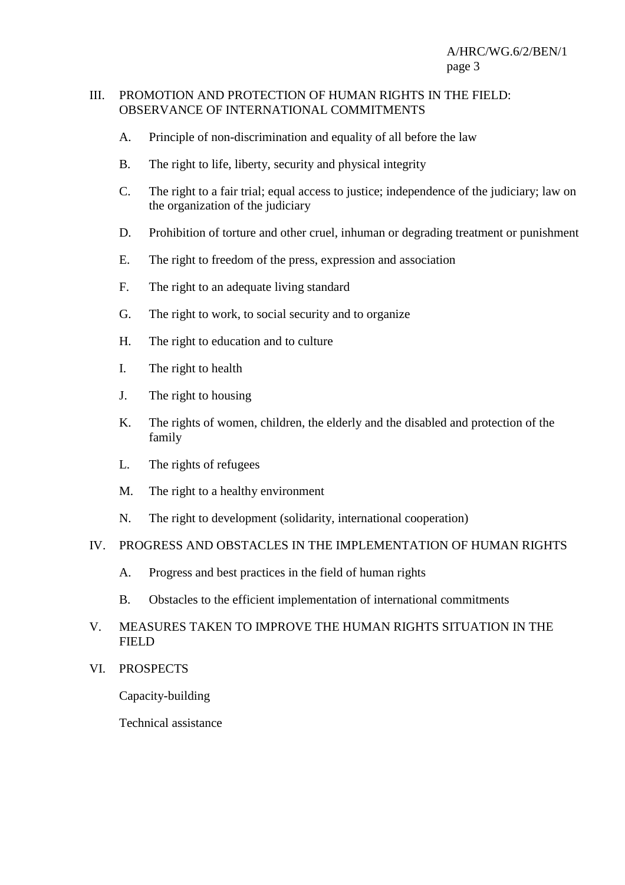#### III. PROMOTION AND PROTECTION OF HUMAN RIGHTS IN THE FIELD: OBSERVANCE OF INTERNATIONAL COMMITMENTS

- A. Principle of non-discrimination and equality of all before the law
- B. The right to life, liberty, security and physical integrity
- C. The right to a fair trial; equal access to justice; independence of the judiciary; law on the organization of the judiciary
- D. Prohibition of torture and other cruel, inhuman or degrading treatment or punishment
- E. The right to freedom of the press, expression and association
- F. The right to an adequate living standard
- G. The right to work, to social security and to organize
- H. The right to education and to culture
- I. The right to health
- J. The right to housing
- K. The rights of women, children, the elderly and the disabled and protection of the family
- L. The rights of refugees
- M. The right to a healthy environment
- N. The right to development (solidarity, international cooperation)

#### IV. PROGRESS AND OBSTACLES IN THE IMPLEMENTATION OF HUMAN RIGHTS

- A. Progress and best practices in the field of human rights
- B. Obstacles to the efficient implementation of international commitments

## V. MEASURES TAKEN TO IMPROVE THE HUMAN RIGHTS SITUATION IN THE FIELD

VI. PROSPECTS

Capacity-building

Technical assistance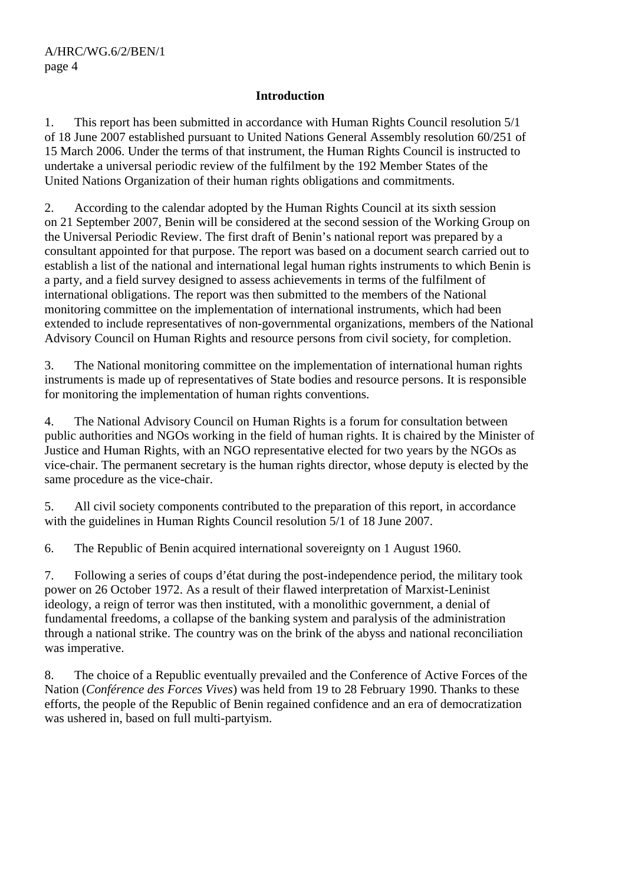#### **Introduction**

1. This report has been submitted in accordance with Human Rights Council resolution 5/1 of 18 June 2007 established pursuant to United Nations General Assembly resolution 60/251 of 15 March 2006. Under the terms of that instrument, the Human Rights Council is instructed to undertake a universal periodic review of the fulfilment by the 192 Member States of the United Nations Organization of their human rights obligations and commitments.

2. According to the calendar adopted by the Human Rights Council at its sixth session on 21 September 2007, Benin will be considered at the second session of the Working Group on the Universal Periodic Review. The first draft of Benin's national report was prepared by a consultant appointed for that purpose. The report was based on a document search carried out to establish a list of the national and international legal human rights instruments to which Benin is a party, and a field survey designed to assess achievements in terms of the fulfilment of international obligations. The report was then submitted to the members of the National monitoring committee on the implementation of international instruments, which had been extended to include representatives of non-governmental organizations, members of the National Advisory Council on Human Rights and resource persons from civil society, for completion.

3. The National monitoring committee on the implementation of international human rights instruments is made up of representatives of State bodies and resource persons. It is responsible for monitoring the implementation of human rights conventions.

4. The National Advisory Council on Human Rights is a forum for consultation between public authorities and NGOs working in the field of human rights. It is chaired by the Minister of Justice and Human Rights, with an NGO representative elected for two years by the NGOs as vice-chair. The permanent secretary is the human rights director, whose deputy is elected by the same procedure as the vice-chair.

5. All civil society components contributed to the preparation of this report, in accordance with the guidelines in Human Rights Council resolution 5/1 of 18 June 2007.

6. The Republic of Benin acquired international sovereignty on 1 August 1960.

7. Following a series of coups d'état during the post-independence period, the military took power on 26 October 1972. As a result of their flawed interpretation of Marxist-Leninist ideology, a reign of terror was then instituted, with a monolithic government, a denial of fundamental freedoms, a collapse of the banking system and paralysis of the administration through a national strike. The country was on the brink of the abyss and national reconciliation was imperative.

8. The choice of a Republic eventually prevailed and the Conference of Active Forces of the Nation (*Conférence des Forces Vives*) was held from 19 to 28 February 1990. Thanks to these efforts, the people of the Republic of Benin regained confidence and an era of democratization was ushered in, based on full multi-partyism.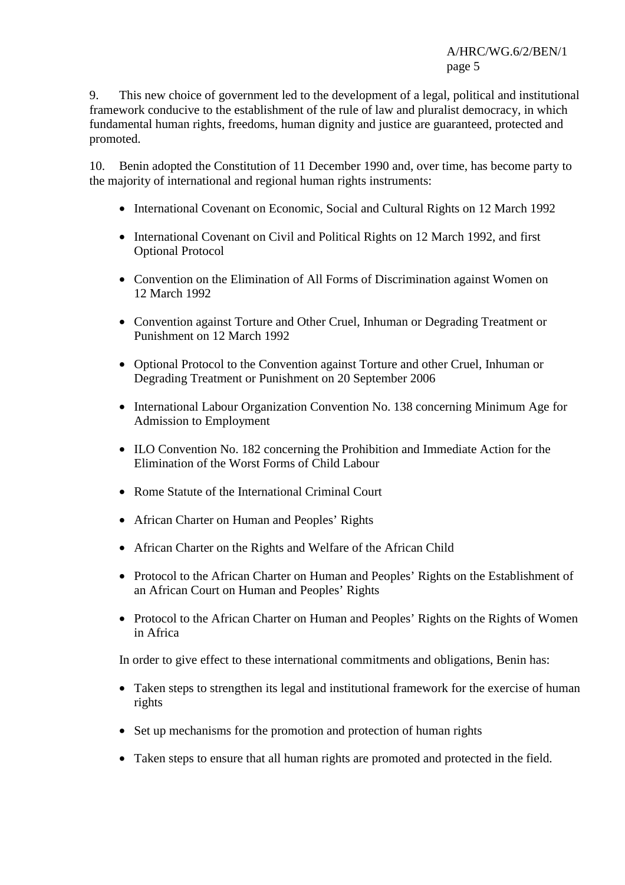9. This new choice of government led to the development of a legal, political and institutional framework conducive to the establishment of the rule of law and pluralist democracy, in which fundamental human rights, freedoms, human dignity and justice are guaranteed, protected and promoted.

10. Benin adopted the Constitution of 11 December 1990 and, over time, has become party to the majority of international and regional human rights instruments:

- International Covenant on Economic, Social and Cultural Rights on 12 March 1992
- International Covenant on Civil and Political Rights on 12 March 1992, and first Optional Protocol
- Convention on the Elimination of All Forms of Discrimination against Women on 12 March 1992
- Convention against Torture and Other Cruel, Inhuman or Degrading Treatment or Punishment on 12 March 1992
- Optional Protocol to the Convention against Torture and other Cruel, Inhuman or Degrading Treatment or Punishment on 20 September 2006
- International Labour Organization Convention No. 138 concerning Minimum Age for Admission to Employment
- ILO Convention No. 182 concerning the Prohibition and Immediate Action for the Elimination of the Worst Forms of Child Labour
- Rome Statute of the International Criminal Court
- African Charter on Human and Peoples' Rights
- African Charter on the Rights and Welfare of the African Child
- Protocol to the African Charter on Human and Peoples' Rights on the Establishment of an African Court on Human and Peoples' Rights
- Protocol to the African Charter on Human and Peoples' Rights on the Rights of Women in Africa

In order to give effect to these international commitments and obligations, Benin has:

- Taken steps to strengthen its legal and institutional framework for the exercise of human rights
- Set up mechanisms for the promotion and protection of human rights
- Taken steps to ensure that all human rights are promoted and protected in the field.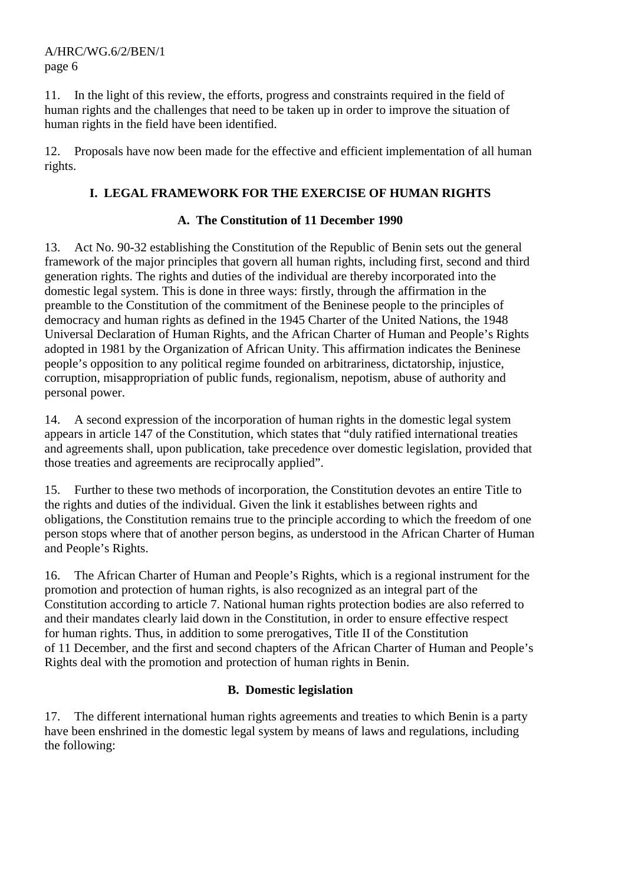11. In the light of this review, the efforts, progress and constraints required in the field of human rights and the challenges that need to be taken up in order to improve the situation of human rights in the field have been identified.

12. Proposals have now been made for the effective and efficient implementation of all human rights.

# **I. LEGAL FRAMEWORK FOR THE EXERCISE OF HUMAN RIGHTS**

# **A. The Constitution of 11 December 1990**

13. Act No. 90-32 establishing the Constitution of the Republic of Benin sets out the general framework of the major principles that govern all human rights, including first, second and third generation rights. The rights and duties of the individual are thereby incorporated into the domestic legal system. This is done in three ways: firstly, through the affirmation in the preamble to the Constitution of the commitment of the Beninese people to the principles of democracy and human rights as defined in the 1945 Charter of the United Nations, the 1948 Universal Declaration of Human Rights, and the African Charter of Human and People's Rights adopted in 1981 by the Organization of African Unity. This affirmation indicates the Beninese people's opposition to any political regime founded on arbitrariness, dictatorship, injustice, corruption, misappropriation of public funds, regionalism, nepotism, abuse of authority and personal power.

14. A second expression of the incorporation of human rights in the domestic legal system appears in article 147 of the Constitution, which states that "duly ratified international treaties and agreements shall, upon publication, take precedence over domestic legislation, provided that those treaties and agreements are reciprocally applied".

15. Further to these two methods of incorporation, the Constitution devotes an entire Title to the rights and duties of the individual. Given the link it establishes between rights and obligations, the Constitution remains true to the principle according to which the freedom of one person stops where that of another person begins, as understood in the African Charter of Human and People's Rights.

16. The African Charter of Human and People's Rights, which is a regional instrument for the promotion and protection of human rights, is also recognized as an integral part of the Constitution according to article 7. National human rights protection bodies are also referred to and their mandates clearly laid down in the Constitution, in order to ensure effective respect for human rights. Thus, in addition to some prerogatives, Title II of the Constitution of 11 December, and the first and second chapters of the African Charter of Human and People's Rights deal with the promotion and protection of human rights in Benin.

# **B. Domestic legislation**

17. The different international human rights agreements and treaties to which Benin is a party have been enshrined in the domestic legal system by means of laws and regulations, including the following: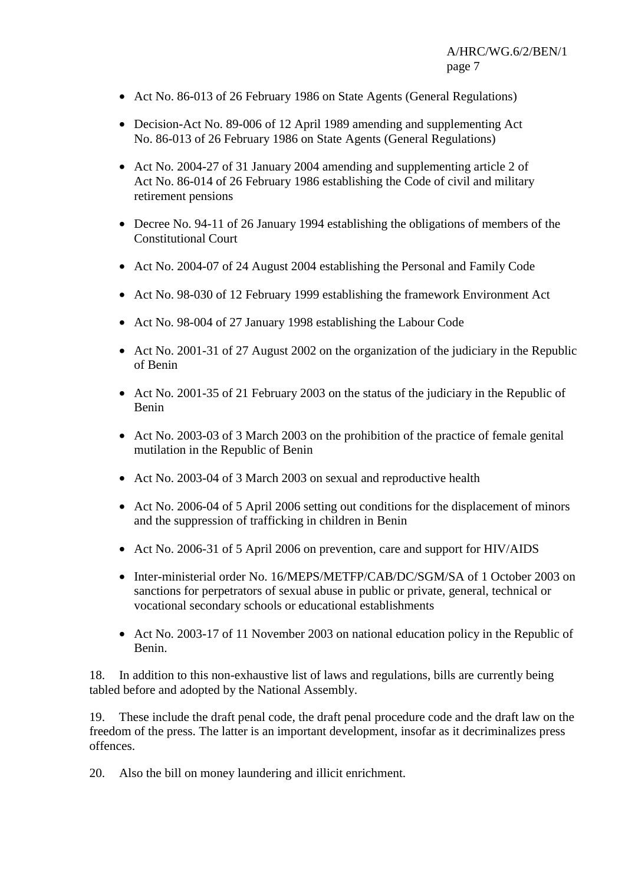- Act No. 86-013 of 26 February 1986 on State Agents (General Regulations)
- Decision-Act No. 89-006 of 12 April 1989 amending and supplementing Act No. 86-013 of 26 February 1986 on State Agents (General Regulations)
- Act No. 2004-27 of 31 January 2004 amending and supplementing article 2 of Act No. 86-014 of 26 February 1986 establishing the Code of civil and military retirement pensions
- Decree No. 94-11 of 26 January 1994 establishing the obligations of members of the Constitutional Court
- Act No. 2004-07 of 24 August 2004 establishing the Personal and Family Code
- Act No. 98-030 of 12 February 1999 establishing the framework Environment Act
- Act No. 98-004 of 27 January 1998 establishing the Labour Code
- Act No. 2001-31 of 27 August 2002 on the organization of the judiciary in the Republic of Benin
- Act No. 2001-35 of 21 February 2003 on the status of the judiciary in the Republic of Benin
- Act No. 2003-03 of 3 March 2003 on the prohibition of the practice of female genital mutilation in the Republic of Benin
- Act No. 2003-04 of 3 March 2003 on sexual and reproductive health
- Act No. 2006-04 of 5 April 2006 setting out conditions for the displacement of minors and the suppression of trafficking in children in Benin
- Act No. 2006-31 of 5 April 2006 on prevention, care and support for HIV/AIDS
- Inter-ministerial order No. 16/MEPS/METFP/CAB/DC/SGM/SA of 1 October 2003 on sanctions for perpetrators of sexual abuse in public or private, general, technical or vocational secondary schools or educational establishments
- Act No. 2003-17 of 11 November 2003 on national education policy in the Republic of Benin.

18. In addition to this non-exhaustive list of laws and regulations, bills are currently being tabled before and adopted by the National Assembly.

19. These include the draft penal code, the draft penal procedure code and the draft law on the freedom of the press. The latter is an important development, insofar as it decriminalizes press offences.

20. Also the bill on money laundering and illicit enrichment.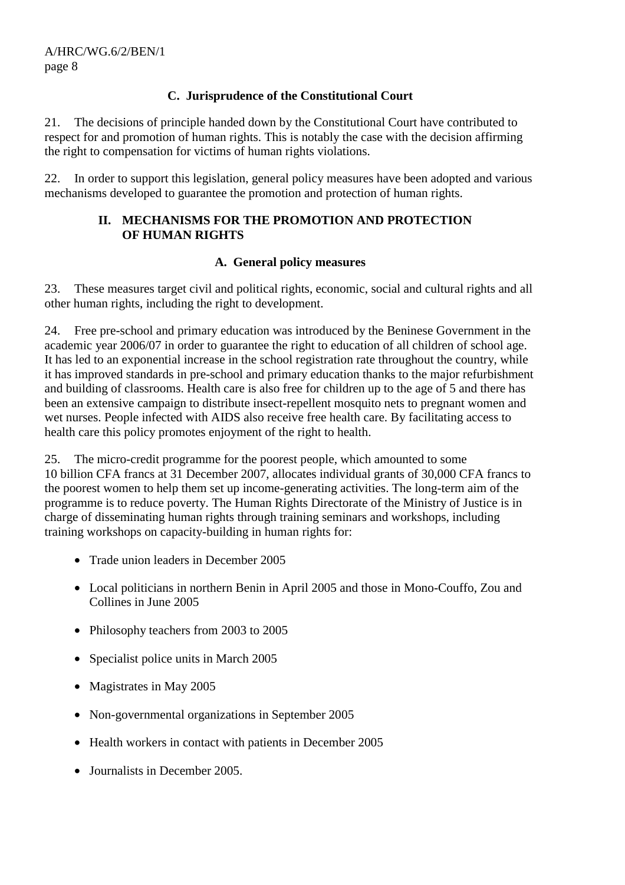## **C. Jurisprudence of the Constitutional Court**

21. The decisions of principle handed down by the Constitutional Court have contributed to respect for and promotion of human rights. This is notably the case with the decision affirming the right to compensation for victims of human rights violations.

22. In order to support this legislation, general policy measures have been adopted and various mechanisms developed to guarantee the promotion and protection of human rights.

## **II. MECHANISMS FOR THE PROMOTION AND PROTECTION OF HUMAN RIGHTS**

## **A. General policy measures**

23. These measures target civil and political rights, economic, social and cultural rights and all other human rights, including the right to development.

24. Free pre-school and primary education was introduced by the Beninese Government in the academic year 2006/07 in order to guarantee the right to education of all children of school age. It has led to an exponential increase in the school registration rate throughout the country, while it has improved standards in pre-school and primary education thanks to the major refurbishment and building of classrooms. Health care is also free for children up to the age of 5 and there has been an extensive campaign to distribute insect-repellent mosquito nets to pregnant women and wet nurses. People infected with AIDS also receive free health care. By facilitating access to health care this policy promotes enjoyment of the right to health.

25. The micro-credit programme for the poorest people, which amounted to some 10 billion CFA francs at 31 December 2007, allocates individual grants of 30,000 CFA francs to the poorest women to help them set up income-generating activities. The long-term aim of the programme is to reduce poverty. The Human Rights Directorate of the Ministry of Justice is in charge of disseminating human rights through training seminars and workshops, including training workshops on capacity-building in human rights for:

- Trade union leaders in December 2005
- Local politicians in northern Benin in April 2005 and those in Mono-Couffo, Zou and Collines in June 2005
- Philosophy teachers from 2003 to 2005
- Specialist police units in March 2005
- Magistrates in May 2005
- Non-governmental organizations in September 2005
- Health workers in contact with patients in December 2005
- Journalists in December 2005.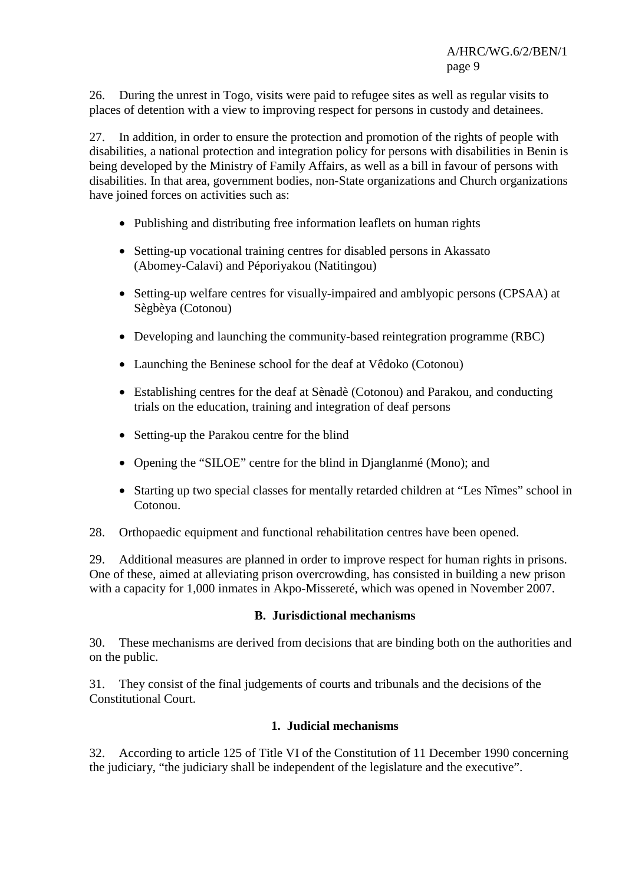26. During the unrest in Togo, visits were paid to refugee sites as well as regular visits to places of detention with a view to improving respect for persons in custody and detainees.

27. In addition, in order to ensure the protection and promotion of the rights of people with disabilities, a national protection and integration policy for persons with disabilities in Benin is being developed by the Ministry of Family Affairs, as well as a bill in favour of persons with disabilities. In that area, government bodies, non-State organizations and Church organizations have joined forces on activities such as:

- Publishing and distributing free information leaflets on human rights
- Setting-up vocational training centres for disabled persons in Akassato (Abomey-Calavi) and Péporiyakou (Natitingou)
- Setting-up welfare centres for visually-impaired and amblyopic persons (CPSAA) at Sègbèya (Cotonou)
- Developing and launching the community-based reintegration programme (RBC)
- Launching the Beninese school for the deaf at Vêdoko (Cotonou)
- Establishing centres for the deaf at Sènadè (Cotonou) and Parakou, and conducting trials on the education, training and integration of deaf persons
- Setting-up the Parakou centre for the blind
- Opening the "SILOE" centre for the blind in Djanglanmé (Mono); and
- Starting up two special classes for mentally retarded children at "Les Nîmes" school in Cotonou.
- 28. Orthopaedic equipment and functional rehabilitation centres have been opened.

29. Additional measures are planned in order to improve respect for human rights in prisons. One of these, aimed at alleviating prison overcrowding, has consisted in building a new prison with a capacity for 1,000 inmates in Akpo-Missereté, which was opened in November 2007.

#### **B. Jurisdictional mechanisms**

30. These mechanisms are derived from decisions that are binding both on the authorities and on the public.

31. They consist of the final judgements of courts and tribunals and the decisions of the Constitutional Court.

## **1. Judicial mechanisms**

32. According to article 125 of Title VI of the Constitution of 11 December 1990 concerning the judiciary, "the judiciary shall be independent of the legislature and the executive".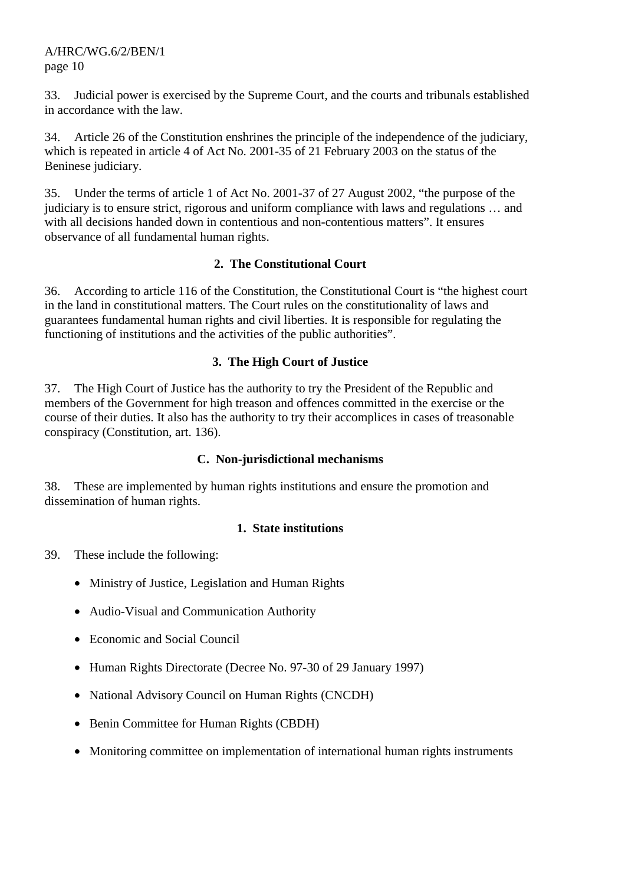33. Judicial power is exercised by the Supreme Court, and the courts and tribunals established in accordance with the law.

34. Article 26 of the Constitution enshrines the principle of the independence of the judiciary, which is repeated in article 4 of Act No. 2001-35 of 21 February 2003 on the status of the Beninese judiciary.

35. Under the terms of article 1 of Act No. 2001-37 of 27 August 2002, "the purpose of the judiciary is to ensure strict, rigorous and uniform compliance with laws and regulations … and with all decisions handed down in contentious and non-contentious matters". It ensures observance of all fundamental human rights.

## **2. The Constitutional Court**

36. According to article 116 of the Constitution, the Constitutional Court is "the highest court in the land in constitutional matters. The Court rules on the constitutionality of laws and guarantees fundamental human rights and civil liberties. It is responsible for regulating the functioning of institutions and the activities of the public authorities".

## **3. The High Court of Justice**

37. The High Court of Justice has the authority to try the President of the Republic and members of the Government for high treason and offences committed in the exercise or the course of their duties. It also has the authority to try their accomplices in cases of treasonable conspiracy (Constitution, art. 136).

## **C. Non-jurisdictional mechanisms**

38. These are implemented by human rights institutions and ensure the promotion and dissemination of human rights.

## **1. State institutions**

39. These include the following:

- Ministry of Justice, Legislation and Human Rights
- Audio-Visual and Communication Authority
- Economic and Social Council
- Human Rights Directorate (Decree No. 97-30 of 29 January 1997)
- National Advisory Council on Human Rights (CNCDH)
- Benin Committee for Human Rights (CBDH)
- Monitoring committee on implementation of international human rights instruments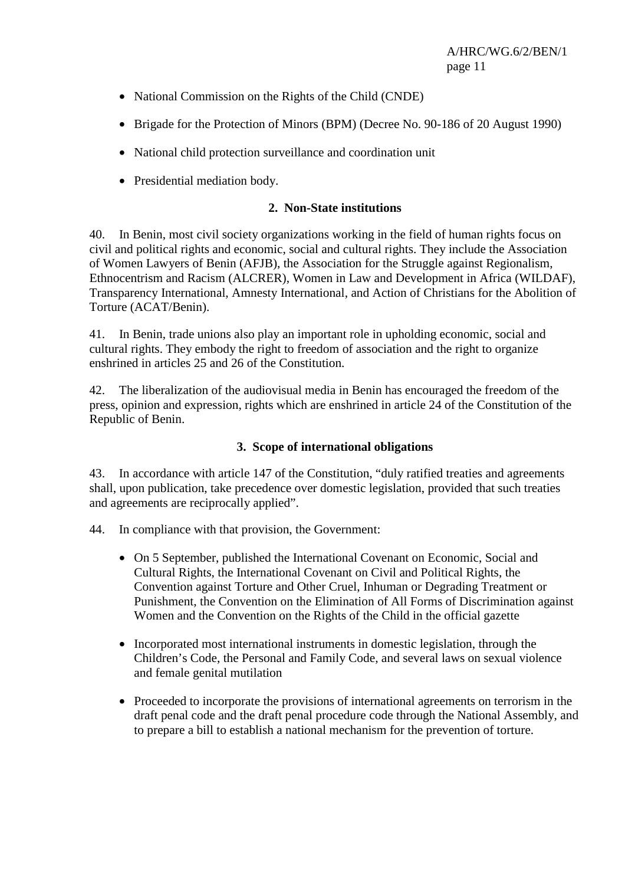- National Commission on the Rights of the Child (CNDE)
- Brigade for the Protection of Minors (BPM) (Decree No. 90-186 of 20 August 1990)
- National child protection surveillance and coordination unit
- Presidential mediation body.

## **2. Non-State institutions**

40. In Benin, most civil society organizations working in the field of human rights focus on civil and political rights and economic, social and cultural rights. They include the Association of Women Lawyers of Benin (AFJB), the Association for the Struggle against Regionalism, Ethnocentrism and Racism (ALCRER), Women in Law and Development in Africa (WILDAF), Transparency International, Amnesty International, and Action of Christians for the Abolition of Torture (ACAT/Benin).

41. In Benin, trade unions also play an important role in upholding economic, social and cultural rights. They embody the right to freedom of association and the right to organize enshrined in articles 25 and 26 of the Constitution.

42. The liberalization of the audiovisual media in Benin has encouraged the freedom of the press, opinion and expression, rights which are enshrined in article 24 of the Constitution of the Republic of Benin.

## **3. Scope of international obligations**

43. In accordance with article 147 of the Constitution, "duly ratified treaties and agreements shall, upon publication, take precedence over domestic legislation, provided that such treaties and agreements are reciprocally applied".

44. In compliance with that provision, the Government:

- On 5 September, published the International Covenant on Economic, Social and Cultural Rights, the International Covenant on Civil and Political Rights, the Convention against Torture and Other Cruel, Inhuman or Degrading Treatment or Punishment, the Convention on the Elimination of All Forms of Discrimination against Women and the Convention on the Rights of the Child in the official gazette
- Incorporated most international instruments in domestic legislation, through the Children's Code, the Personal and Family Code, and several laws on sexual violence and female genital mutilation
- Proceeded to incorporate the provisions of international agreements on terrorism in the draft penal code and the draft penal procedure code through the National Assembly, and to prepare a bill to establish a national mechanism for the prevention of torture.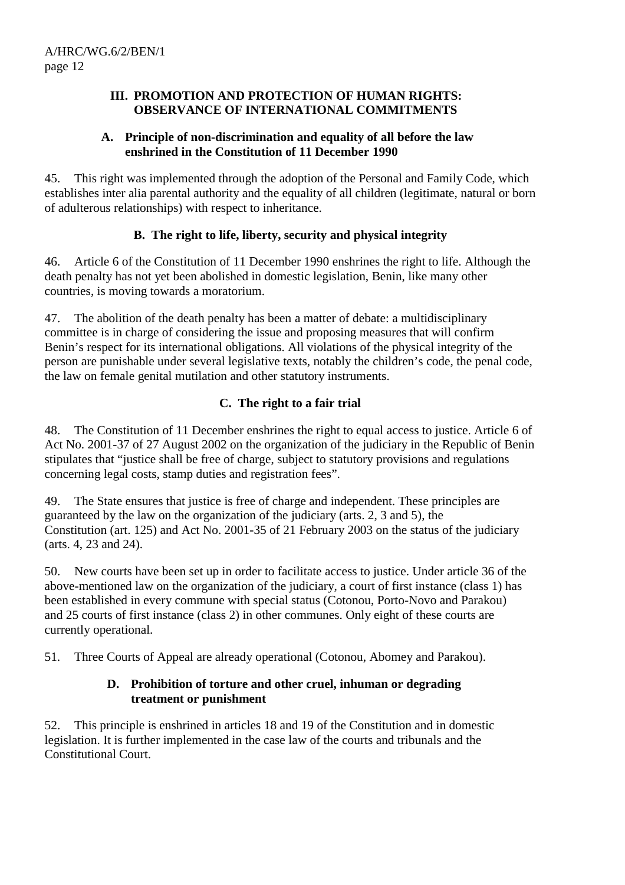#### **III. PROMOTION AND PROTECTION OF HUMAN RIGHTS: OBSERVANCE OF INTERNATIONAL COMMITMENTS**

## **A. Principle of non-discrimination and equality of all before the law enshrined in the Constitution of 11 December 1990**

45. This right was implemented through the adoption of the Personal and Family Code, which establishes inter alia parental authority and the equality of all children (legitimate, natural or born of adulterous relationships) with respect to inheritance.

# **B. The right to life, liberty, security and physical integrity**

46. Article 6 of the Constitution of 11 December 1990 enshrines the right to life. Although the death penalty has not yet been abolished in domestic legislation, Benin, like many other countries, is moving towards a moratorium.

47. The abolition of the death penalty has been a matter of debate: a multidisciplinary committee is in charge of considering the issue and proposing measures that will confirm Benin's respect for its international obligations. All violations of the physical integrity of the person are punishable under several legislative texts, notably the children's code, the penal code, the law on female genital mutilation and other statutory instruments.

# **C. The right to a fair trial**

48. The Constitution of 11 December enshrines the right to equal access to justice. Article 6 of Act No. 2001-37 of 27 August 2002 on the organization of the judiciary in the Republic of Benin stipulates that "justice shall be free of charge, subject to statutory provisions and regulations concerning legal costs, stamp duties and registration fees".

49. The State ensures that justice is free of charge and independent. These principles are guaranteed by the law on the organization of the judiciary (arts. 2, 3 and 5), the Constitution (art. 125) and Act No. 2001-35 of 21 February 2003 on the status of the judiciary (arts. 4, 23 and 24).

50. New courts have been set up in order to facilitate access to justice. Under article 36 of the above-mentioned law on the organization of the judiciary, a court of first instance (class 1) has been established in every commune with special status (Cotonou, Porto-Novo and Parakou) and 25 courts of first instance (class 2) in other communes. Only eight of these courts are currently operational.

51. Three Courts of Appeal are already operational (Cotonou, Abomey and Parakou).

## **D. Prohibition of torture and other cruel, inhuman or degrading treatment or punishment**

52. This principle is enshrined in articles 18 and 19 of the Constitution and in domestic legislation. It is further implemented in the case law of the courts and tribunals and the Constitutional Court.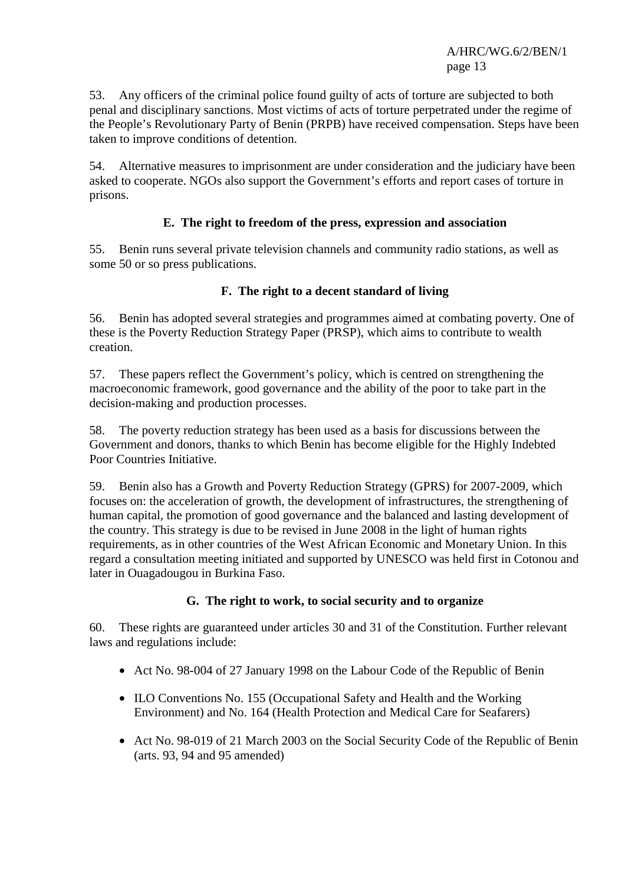53. Any officers of the criminal police found guilty of acts of torture are subjected to both penal and disciplinary sanctions. Most victims of acts of torture perpetrated under the regime of the People's Revolutionary Party of Benin (PRPB) have received compensation. Steps have been taken to improve conditions of detention.

54. Alternative measures to imprisonment are under consideration and the judiciary have been asked to cooperate. NGOs also support the Government's efforts and report cases of torture in prisons.

## **E. The right to freedom of the press, expression and association**

55. Benin runs several private television channels and community radio stations, as well as some 50 or so press publications.

## **F. The right to a decent standard of living**

56. Benin has adopted several strategies and programmes aimed at combating poverty. One of these is the Poverty Reduction Strategy Paper (PRSP), which aims to contribute to wealth creation.

57. These papers reflect the Government's policy, which is centred on strengthening the macroeconomic framework, good governance and the ability of the poor to take part in the decision-making and production processes.

58. The poverty reduction strategy has been used as a basis for discussions between the Government and donors, thanks to which Benin has become eligible for the Highly Indebted Poor Countries Initiative.

59. Benin also has a Growth and Poverty Reduction Strategy (GPRS) for 2007-2009, which focuses on: the acceleration of growth, the development of infrastructures, the strengthening of human capital, the promotion of good governance and the balanced and lasting development of the country. This strategy is due to be revised in June 2008 in the light of human rights requirements, as in other countries of the West African Economic and Monetary Union. In this regard a consultation meeting initiated and supported by UNESCO was held first in Cotonou and later in Ouagadougou in Burkina Faso.

## **G. The right to work, to social security and to organize**

60. These rights are guaranteed under articles 30 and 31 of the Constitution. Further relevant laws and regulations include:

- Act No. 98-004 of 27 January 1998 on the Labour Code of the Republic of Benin
- ILO Conventions No. 155 (Occupational Safety and Health and the Working Environment) and No. 164 (Health Protection and Medical Care for Seafarers)
- Act No. 98-019 of 21 March 2003 on the Social Security Code of the Republic of Benin (arts. 93, 94 and 95 amended)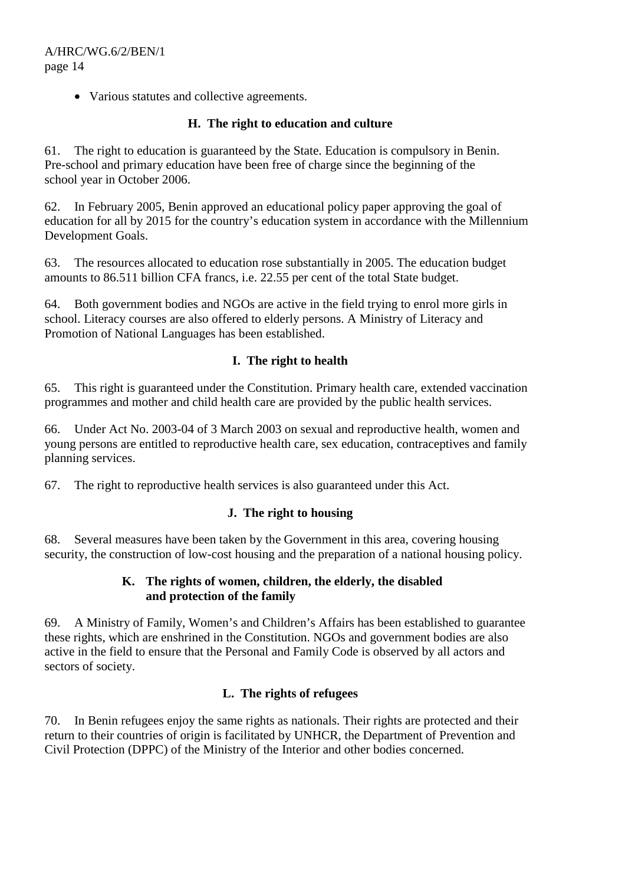• Various statutes and collective agreements.

## **H. The right to education and culture**

61. The right to education is guaranteed by the State. Education is compulsory in Benin. Pre-school and primary education have been free of charge since the beginning of the school year in October 2006.

62. In February 2005, Benin approved an educational policy paper approving the goal of education for all by 2015 for the country's education system in accordance with the Millennium Development Goals.

63. The resources allocated to education rose substantially in 2005. The education budget amounts to 86.511 billion CFA francs, i.e. 22.55 per cent of the total State budget.

64. Both government bodies and NGOs are active in the field trying to enrol more girls in school. Literacy courses are also offered to elderly persons. A Ministry of Literacy and Promotion of National Languages has been established.

## **I. The right to health**

65. This right is guaranteed under the Constitution. Primary health care, extended vaccination programmes and mother and child health care are provided by the public health services.

66. Under Act No. 2003-04 of 3 March 2003 on sexual and reproductive health, women and young persons are entitled to reproductive health care, sex education, contraceptives and family planning services.

67. The right to reproductive health services is also guaranteed under this Act.

## **J. The right to housing**

68. Several measures have been taken by the Government in this area, covering housing security, the construction of low-cost housing and the preparation of a national housing policy.

## **K. The rights of women, children, the elderly, the disabled and protection of the family**

69. A Ministry of Family, Women's and Children's Affairs has been established to guarantee these rights, which are enshrined in the Constitution. NGOs and government bodies are also active in the field to ensure that the Personal and Family Code is observed by all actors and sectors of society.

# **L. The rights of refugees**

70. In Benin refugees enjoy the same rights as nationals. Their rights are protected and their return to their countries of origin is facilitated by UNHCR, the Department of Prevention and Civil Protection (DPPC) of the Ministry of the Interior and other bodies concerned.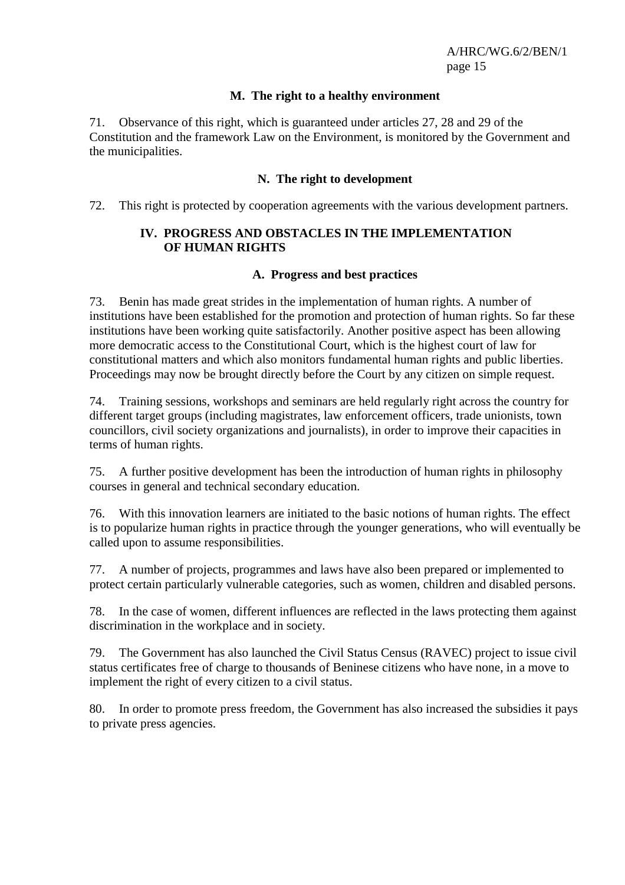#### **M. The right to a healthy environment**

71. Observance of this right, which is guaranteed under articles 27, 28 and 29 of the Constitution and the framework Law on the Environment, is monitored by the Government and the municipalities.

#### **N. The right to development**

72. This right is protected by cooperation agreements with the various development partners.

## **IV. PROGRESS AND OBSTACLES IN THE IMPLEMENTATION OF HUMAN RIGHTS**

#### **A. Progress and best practices**

73. Benin has made great strides in the implementation of human rights. A number of institutions have been established for the promotion and protection of human rights. So far these institutions have been working quite satisfactorily. Another positive aspect has been allowing more democratic access to the Constitutional Court, which is the highest court of law for constitutional matters and which also monitors fundamental human rights and public liberties. Proceedings may now be brought directly before the Court by any citizen on simple request.

74. Training sessions, workshops and seminars are held regularly right across the country for different target groups (including magistrates, law enforcement officers, trade unionists, town councillors, civil society organizations and journalists), in order to improve their capacities in terms of human rights.

75. A further positive development has been the introduction of human rights in philosophy courses in general and technical secondary education.

76. With this innovation learners are initiated to the basic notions of human rights. The effect is to popularize human rights in practice through the younger generations, who will eventually be called upon to assume responsibilities.

77. A number of projects, programmes and laws have also been prepared or implemented to protect certain particularly vulnerable categories, such as women, children and disabled persons.

78. In the case of women, different influences are reflected in the laws protecting them against discrimination in the workplace and in society.

79. The Government has also launched the Civil Status Census (RAVEC) project to issue civil status certificates free of charge to thousands of Beninese citizens who have none, in a move to implement the right of every citizen to a civil status.

80. In order to promote press freedom, the Government has also increased the subsidies it pays to private press agencies.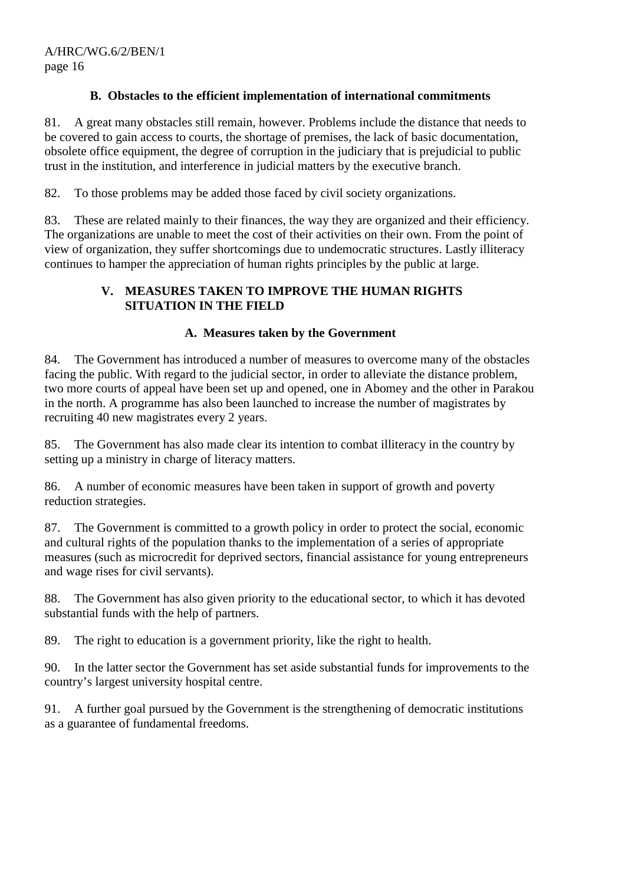## **B. Obstacles to the efficient implementation of international commitments**

81. A great many obstacles still remain, however. Problems include the distance that needs to be covered to gain access to courts, the shortage of premises, the lack of basic documentation, obsolete office equipment, the degree of corruption in the judiciary that is prejudicial to public trust in the institution, and interference in judicial matters by the executive branch.

82. To those problems may be added those faced by civil society organizations.

83. These are related mainly to their finances, the way they are organized and their efficiency. The organizations are unable to meet the cost of their activities on their own. From the point of view of organization, they suffer shortcomings due to undemocratic structures. Lastly illiteracy continues to hamper the appreciation of human rights principles by the public at large.

## **V. MEASURES TAKEN TO IMPROVE THE HUMAN RIGHTS SITUATION IN THE FIELD**

## **A. Measures taken by the Government**

84. The Government has introduced a number of measures to overcome many of the obstacles facing the public. With regard to the judicial sector, in order to alleviate the distance problem, two more courts of appeal have been set up and opened, one in Abomey and the other in Parakou in the north. A programme has also been launched to increase the number of magistrates by recruiting 40 new magistrates every 2 years.

85. The Government has also made clear its intention to combat illiteracy in the country by setting up a ministry in charge of literacy matters.

86. A number of economic measures have been taken in support of growth and poverty reduction strategies.

87. The Government is committed to a growth policy in order to protect the social, economic and cultural rights of the population thanks to the implementation of a series of appropriate measures (such as microcredit for deprived sectors, financial assistance for young entrepreneurs and wage rises for civil servants).

88. The Government has also given priority to the educational sector, to which it has devoted substantial funds with the help of partners.

89. The right to education is a government priority, like the right to health.

90. In the latter sector the Government has set aside substantial funds for improvements to the country's largest university hospital centre.

91. A further goal pursued by the Government is the strengthening of democratic institutions as a guarantee of fundamental freedoms.